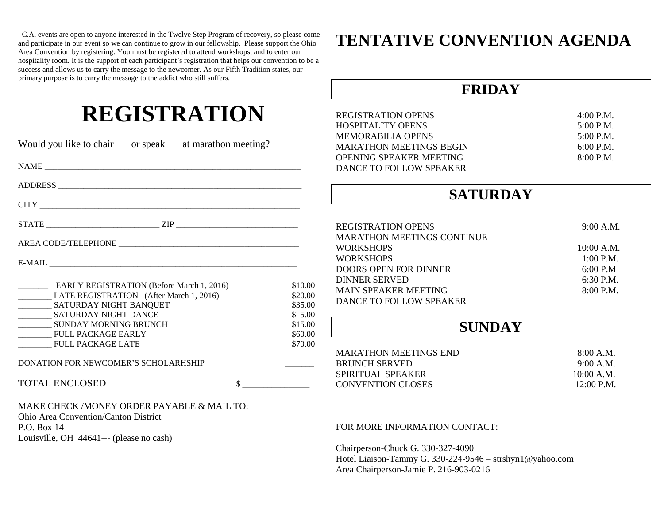C.A. events are open to anyone interested in the Twelve Step Program of recovery, so please come and participate in our event so we can continue to grow in our fellowship. Please support the Ohio Area Convention by registering. You must be registered to attend workshops, and to enter our hospitality room. It is the support of each participant's registration that helps our convention to be a success and allows us to carry the message to the newcomer. As our Fifth Tradition states, our primary purpose is to carry the message to the addict who still suffers.

## **REGISTRATION**

| Would you like to chair___ or speak___ at marathon meeting?                                                                                                                                                                                                                                                                                                                                                                                                                                                      |                                                                                                                                                                                                                                                                                                                     |                    | <b>MEMORABILIA OPEN</b><br><b>MARATHON MEETING</b>   |
|------------------------------------------------------------------------------------------------------------------------------------------------------------------------------------------------------------------------------------------------------------------------------------------------------------------------------------------------------------------------------------------------------------------------------------------------------------------------------------------------------------------|---------------------------------------------------------------------------------------------------------------------------------------------------------------------------------------------------------------------------------------------------------------------------------------------------------------------|--------------------|------------------------------------------------------|
| NAME                                                                                                                                                                                                                                                                                                                                                                                                                                                                                                             |                                                                                                                                                                                                                                                                                                                     |                    | <b>OPENING SPEAKER M</b><br><b>DANCE TO FOLLOW S</b> |
|                                                                                                                                                                                                                                                                                                                                                                                                                                                                                                                  |                                                                                                                                                                                                                                                                                                                     |                    |                                                      |
|                                                                                                                                                                                                                                                                                                                                                                                                                                                                                                                  |                                                                                                                                                                                                                                                                                                                     |                    |                                                      |
|                                                                                                                                                                                                                                                                                                                                                                                                                                                                                                                  |                                                                                                                                                                                                                                                                                                                     |                    | <b>REGISTRATION OPEN</b>                             |
| ${\bf AREA~CODE/TELEPHONE} \label{eq:area} \begin{tabular}{c} \multicolumn{2}{c}{ \begin{tabular}{c} \multicolumn{2}{c}{ \multicolumn{2}{c}{ \multicolumn{2}{c}{ \multicolumn{2}{c}{ \multicolumn{2}{c}{ \multicolumn{2}{c}{ \multicolumn{2}{c}{ \multicolumn{2}{c}{ \multicolumn{2}{c}{ \multicolumn{2}{c}{ \multicolumn{2}{c}{ \multicolumn{2}{c}{ \multicolumn{2}{c}{ \multicolumn{2}{c}{ \multicolumn{2}{c}{ \multicolumn{2}{c}{ \multicolumn{2}{c}{ \multicolumn{2}{c}{ \multicolumn{2}{c}{ \multicolumn{2$ |                                                                                                                                                                                                                                                                                                                     |                    | <b>MARATHON MEETING</b><br><b>WORKSHOPS</b>          |
|                                                                                                                                                                                                                                                                                                                                                                                                                                                                                                                  |                                                                                                                                                                                                                                                                                                                     |                    | <b>WORKSHOPS</b><br><b>DOORS OPEN FOR DIN</b>        |
| <b>EARLY REGISTRATION (Before March 1, 2016)</b><br>\$10.00                                                                                                                                                                                                                                                                                                                                                                                                                                                      |                                                                                                                                                                                                                                                                                                                     |                    | <b>DINNER SERVED</b><br><b>MAIN SPEAKER MEET</b>     |
| LATE REGISTRATION (After March 1, 2016)<br>\$20.00<br>___________ SATURDAY NIGHT BANQUET                                                                                                                                                                                                                                                                                                                                                                                                                         |                                                                                                                                                                                                                                                                                                                     | \$35.00            | <b>DANCE TO FOLLOW S</b>                             |
| ____________ SATURDAY NIGHT DANCE                                                                                                                                                                                                                                                                                                                                                                                                                                                                                |                                                                                                                                                                                                                                                                                                                     | \$5.00             |                                                      |
| __________ SUNDAY MORNING BRUNCH<br><b>FULL PACKAGE EARLY</b>                                                                                                                                                                                                                                                                                                                                                                                                                                                    |                                                                                                                                                                                                                                                                                                                     | \$15.00<br>\$60.00 |                                                      |
| <b>FULL PACKAGE LATE</b>                                                                                                                                                                                                                                                                                                                                                                                                                                                                                         |                                                                                                                                                                                                                                                                                                                     | \$70.00            |                                                      |
| DONATION FOR NEWCOMER'S SCHOLARHSHIP<br>$\overline{\phantom{a}}$                                                                                                                                                                                                                                                                                                                                                                                                                                                 |                                                                                                                                                                                                                                                                                                                     |                    | <b>MARATHON MEETING</b><br><b>BRUNCH SERVED</b>      |
| <b>TOTAL ENCLOSED</b>                                                                                                                                                                                                                                                                                                                                                                                                                                                                                            | $\frac{1}{2}$ $\frac{1}{2}$ $\frac{1}{2}$ $\frac{1}{2}$ $\frac{1}{2}$ $\frac{1}{2}$ $\frac{1}{2}$ $\frac{1}{2}$ $\frac{1}{2}$ $\frac{1}{2}$ $\frac{1}{2}$ $\frac{1}{2}$ $\frac{1}{2}$ $\frac{1}{2}$ $\frac{1}{2}$ $\frac{1}{2}$ $\frac{1}{2}$ $\frac{1}{2}$ $\frac{1}{2}$ $\frac{1}{2}$ $\frac{1}{2}$ $\frac{1}{2}$ |                    | SPIRITUAL SPEAKER<br><b>CONVENTION CLOSE</b>         |
| MAKE CHECK / MONEY ORDER PAYABLE & MAIL TO:                                                                                                                                                                                                                                                                                                                                                                                                                                                                      |                                                                                                                                                                                                                                                                                                                     |                    |                                                      |
| <b>Ohio Area Convention/Canton District</b>                                                                                                                                                                                                                                                                                                                                                                                                                                                                      |                                                                                                                                                                                                                                                                                                                     |                    |                                                      |
| P.O. Box 14<br>Louisville, OH 44641--- (please no cash)                                                                                                                                                                                                                                                                                                                                                                                                                                                          |                                                                                                                                                                                                                                                                                                                     |                    | <b>FOR MORE INFORMAT</b>                             |
|                                                                                                                                                                                                                                                                                                                                                                                                                                                                                                                  |                                                                                                                                                                                                                                                                                                                     |                    |                                                      |

## **TENTATIVE CONVENTION AGENDA**

## **FRIDAY**

| <b>REGISTRATION OPENS</b>      | $4:00$ P.M. |
|--------------------------------|-------------|
| <b>HOSPITALITY OPENS</b>       | $5:00$ P.M. |
| MEMORABILIA OPENS              | $5:00$ P.M. |
| <b>MARATHON MEETINGS BEGIN</b> | $6:00$ P.M. |
| <b>OPENING SPEAKER MEETING</b> | 8:00 P.M.   |
| DANCE TO FOLLOW SPEAKER        |             |

## **SATURDAY**

| <b>REGISTRATION OPENS</b>         | 9:00 A.M.   |
|-----------------------------------|-------------|
| <b>MARATHON MEETINGS CONTINUE</b> |             |
| <b>WORKSHOPS</b>                  | 10:00 A.M.  |
| <b>WORKSHOPS</b>                  | $1:00$ P.M. |
| DOORS OPEN FOR DINNER             | 6:00 P.M    |
| <b>DINNER SERVED</b>              | $6:30$ P.M. |
| <b>MAIN SPEAKER MEETING</b>       | 8:00 P.M.   |
| DANCE TO FOLLOW SPEAKER           |             |

## **SUNDAY**

| 8:00 A.M.  |
|------------|
| 9:00 A.M.  |
| 10:00 A.M. |
| 12:00 P.M. |
|            |

#### TION CONTACT:

Chairperson-Chuck G. 330-327-4090 Hotel Liaison-Tammy G. 330-224-9546 – strshyn1@yahoo.com Area Chairperson-Jamie P. 216-903-0216